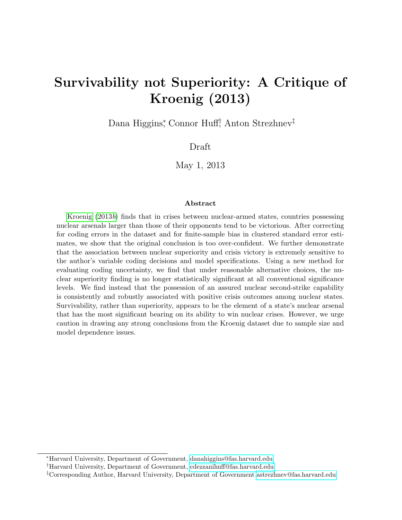## Survivability not Superiority: A Critique of Kroenig (2013)

Dana Higgins<sup>∗</sup> , Connor Huff† , Anton Strezhnev‡

Draft

May 1, 2013

#### Abstract

[Kroenig](#page-24-0) [\(2013](#page-24-0)b) finds that in crises between nuclear-armed states, countries possessing nuclear arsenals larger than those of their opponents tend to be victorious. After correcting for coding errors in the dataset and for finite-sample bias in clustered standard error estimates, we show that the original conclusion is too over-confident. We further demonstrate that the association between nuclear superiority and crisis victory is extremely sensitive to the author's variable coding decisions and model specifications. Using a new method for evaluating coding uncertainty, we find that under reasonable alternative choices, the nuclear superiority finding is no longer statistically significant at all conventional significance levels. We find instead that the possession of an assured nuclear second-strike capability is consistently and robustly associated with positive crisis outcomes among nuclear states. Survivability, rather than superiority, appears to be the element of a state's nuclear arsenal that has the most significant bearing on its ability to win nuclear crises. However, we urge caution in drawing any strong conclusions from the Kroenig dataset due to sample size and model dependence issues.

<sup>∗</sup>Harvard University, Department of Government, [danahiggins@fas.harvard.edu](mailto:danahiggins@fas.harvard.edu)

<sup>†</sup>Harvard University, Department of Government, [cdezzanihuff@fas.harvard.edu](mailto:cdezzanihuff@fas.harvard.edu)

<sup>‡</sup>Corresponding Author, Harvard University, Department of Government [astrezhnev@fas.harvard.edu](mailto:astrezhnev@fas.harvard.edu)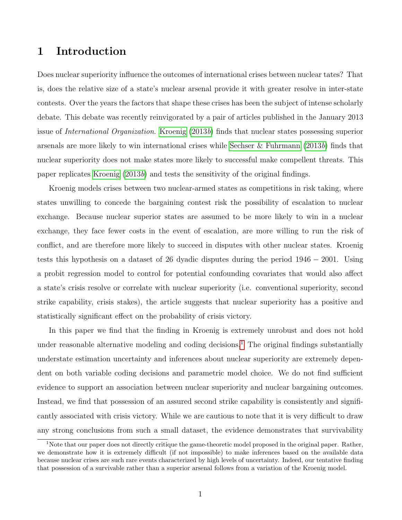### 1 Introduction

Does nuclear superiority influence the outcomes of international crises between nuclear tates? That is, does the relative size of a state's nuclear arsenal provide it with greater resolve in inter-state contests. Over the years the factors that shape these crises has been the subject of intense scholarly debate. This debate was recently reinvigorated by a pair of articles published in the January 2013 issue of International Organization. [Kroenig](#page-24-0) [\(2013](#page-24-0)b) finds that nuclear states possessing superior arsenals are more likely to win international crises while [Sechser & Fuhrmann](#page-25-0) [\(2013](#page-25-0)b) finds that nuclear superiority does not make states more likely to successful make compellent threats. This paper replicates [Kroenig](#page-24-0)  $(2013b)$  $(2013b)$  and tests the sensitivity of the original findings.

Kroenig models crises between two nuclear-armed states as competitions in risk taking, where states unwilling to concede the bargaining contest risk the possibility of escalation to nuclear exchange. Because nuclear superior states are assumed to be more likely to win in a nuclear exchange, they face fewer costs in the event of escalation, are more willing to run the risk of conflict, and are therefore more likely to succeed in disputes with other nuclear states. Kroenig tests this hypothesis on a dataset of 26 dyadic disputes during the period 1946 − 2001. Using a probit regression model to control for potential confounding covariates that would also affect a state's crisis resolve or correlate with nuclear superiority (i.e. conventional superiority, second strike capability, crisis stakes), the article suggests that nuclear superiority has a positive and statistically significant effect on the probability of crisis victory.

In this paper we find that the finding in Kroenig is extremely unrobust and does not hold under reasonable alternative modeling and coding decisions.<sup>[1](#page-1-0)</sup> The original findings substantially understate estimation uncertainty and inferences about nuclear superiority are extremely dependent on both variable coding decisions and parametric model choice. We do not find sufficient evidence to support an association between nuclear superiority and nuclear bargaining outcomes. Instead, we find that possession of an assured second strike capability is consistently and significantly associated with crisis victory. While we are cautious to note that it is very difficult to draw any strong conclusions from such a small dataset, the evidence demonstrates that survivability

<span id="page-1-0"></span><sup>&</sup>lt;sup>1</sup>Note that our paper does not directly critique the game-theoretic model proposed in the original paper. Rather, we demonstrate how it is extremely difficult (if not impossible) to make inferences based on the available data because nuclear crises are such rare events characterized by high levels of uncertainty. Indeed, our tentative finding that possession of a survivable rather than a superior arsenal follows from a variation of the Kroenig model.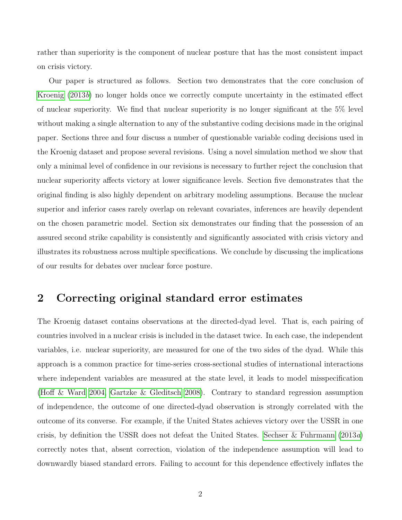rather than superiority is the component of nuclear posture that has the most consistent impact on crisis victory.

Our paper is structured as follows. Section two demonstrates that the core conclusion of [Kroenig](#page-24-0) [\(2013](#page-24-0)b) no longer holds once we correctly compute uncertainty in the estimated effect of nuclear superiority. We find that nuclear superiority is no longer significant at the 5% level without making a single alternation to any of the substantive coding decisions made in the original paper. Sections three and four discuss a number of questionable variable coding decisions used in the Kroenig dataset and propose several revisions. Using a novel simulation method we show that only a minimal level of confidence in our revisions is necessary to further reject the conclusion that nuclear superiority affects victory at lower significance levels. Section five demonstrates that the original finding is also highly dependent on arbitrary modeling assumptions. Because the nuclear superior and inferior cases rarely overlap on relevant covariates, inferences are heavily dependent on the chosen parametric model. Section six demonstrates our finding that the possession of an assured second strike capability is consistently and significantly associated with crisis victory and illustrates its robustness across multiple specifications. We conclude by discussing the implications of our results for debates over nuclear force posture.

#### 2 Correcting original standard error estimates

The Kroenig dataset contains observations at the directed-dyad level. That is, each pairing of countries involved in a nuclear crisis is included in the dataset twice. In each case, the independent variables, i.e. nuclear superiority, are measured for one of the two sides of the dyad. While this approach is a common practice for time-series cross-sectional studies of international interactions where independent variables are measured at the state level, it leads to model misspecification [\(Hoff & Ward 2004,](#page-24-1) [Gartzke & Gleditsch 2008\)](#page-23-0). Contrary to standard regression assumption of independence, the outcome of one directed-dyad observation is strongly correlated with the outcome of its converse. For example, if the United States achieves victory over the USSR in one crisis, by definition the USSR does not defeat the United States. [Sechser & Fuhrmann](#page-25-1) [\(2013](#page-25-1)a) correctly notes that, absent correction, violation of the independence assumption will lead to downwardly biased standard errors. Failing to account for this dependence effectively inflates the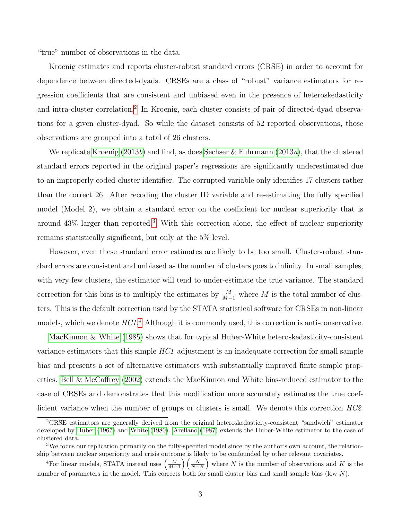"true" number of observations in the data.

Kroenig estimates and reports cluster-robust standard errors (CRSE) in order to account for dependence between directed-dyads. CRSEs are a class of "robust" variance estimators for regression coefficients that are consistent and unbiased even in the presence of heteroskedasticity and intra-cluster correlation.<sup>[2](#page-3-0)</sup> In Kroenig, each cluster consists of pair of directed-dyad observations for a given cluster-dyad. So while the dataset consists of 52 reported observations, those observations are grouped into a total of 26 clusters.

We replicate [Kroenig](#page-24-0)  $(2013b)$  $(2013b)$  and find, as does [Sechser & Fuhrmann](#page-25-1)  $(2013a)$ , that the clustered standard errors reported in the original paper's regressions are significantly underestimated due to an improperly coded cluster identifier. The corrupted variable only identifies 17 clusters rather than the correct 26. After recoding the cluster ID variable and re-estimating the fully specified model (Model 2), we obtain a standard error on the coefficient for nuclear superiority that is around  $43\%$  $43\%$  $43\%$  larger than reported.<sup>3</sup> With this correction alone, the effect of nuclear superiority remains statistically significant, but only at the 5% level.

However, even these standard error estimates are likely to be too small. Cluster-robust standard errors are consistent and unbiased as the number of clusters goes to infinity. In small samples, with very few clusters, the estimator will tend to under-estimate the true variance. The standard correction for this bias is to multiply the estimates by  $\frac{M}{M-1}$  where M is the total number of clusters. This is the default correction used by the STATA statistical software for CRSEs in non-linear models, which we denote  $H C 1.4$  $H C 1.4$  Although it is commonly used, this correction is anti-conservative.

[MacKinnon & White](#page-25-2) [\(1985\)](#page-25-2) shows that for typical Huber-White heteroskedasticity-consistent variance estimators that this simple HC1 adjustment is an inadequate correction for small sample bias and presents a set of alternative estimators with substantially improved finite sample properties. [Bell & McCaffrey](#page-23-1) [\(2002\)](#page-23-1) extends the MacKinnon and White bias-reduced estimator to the case of CRSEs and demonstrates that this modification more accurately estimates the true coefficient variance when the number of groups or clusters is small. We denote this correction HC2.

<span id="page-3-0"></span><sup>2</sup>CRSE estimators are generally derived from the original heteroskedasticity-consistent "sandwich" estimator developed by [Huber](#page-24-2) [\(1967\)](#page-24-2) and [White](#page-26-0) [\(1980\)](#page-26-0). [Arellano](#page-23-2) [\(1987\)](#page-23-2) extends the Huber-White estimator to the case of clustered data.

<span id="page-3-1"></span><sup>&</sup>lt;sup>3</sup>We focus our replication primarily on the fully-specified model since by the author's own account, the relationship between nuclear superiority and crisis outcome is likely to be confounded by other relevant covariates.

<span id="page-3-2"></span><sup>&</sup>lt;sup>4</sup>For linear models, STATA instead uses  $\left(\frac{M}{M-1}\right)\left(\frac{N}{N-K}\right)$  where N is the number of observations and K is the number of parameters in the model. This corrects both for small cluster bias and small sample bias (low  $N$ ).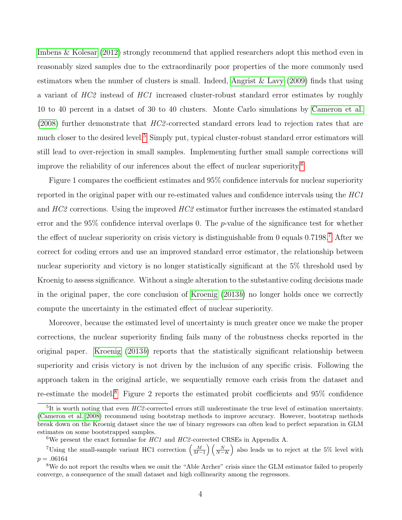[Imbens & Kolesar](#page-24-3) [\(2012\)](#page-24-3) strongly recommend that applied researchers adopt this method even in reasonably sized samples due to the extraordinarily poor properties of the more commonly used estimators when the number of clusters is small. Indeed, [Angrist & Lavy](#page-23-3) [\(2009\)](#page-23-3) finds that using a variant of HC2 instead of HC1 increased cluster-robust standard error estimates by roughly 10 to 40 percent in a datset of 30 to 40 clusters. Monte Carlo simulations by [Cameron et al.](#page-23-4)  $(2008)$  further demonstrate that  $HC2$ -corrected standard errors lead to rejection rates that are much closer to the desired level.<sup>[5](#page-4-0)</sup> Simply put, typical cluster-robust standard error estimators will still lead to over-rejection in small samples. Implementing further small sample corrections will improve the reliability of our inferences about the effect of nuclear superiority.[6](#page-4-1)

Figure 1 compares the coefficient estimates and 95% confidence intervals for nuclear superiority reported in the original paper with our re-estimated values and confidence intervals using the HC1 and HC2 corrections. Using the improved HC2 estimator further increases the estimated standard error and the 95% confidence interval overlaps 0. The  $p$ -value of the significance test for whether the effect of nuclear superiority on crisis victory is distinguishable from 0 equals  $0.7198$  $0.7198$  $0.7198$ .<sup>7</sup> After we correct for coding errors and use an improved standard error estimator, the relationship between nuclear superiority and victory is no longer statistically significant at the 5% threshold used by Kroenig to assess significance. Without a single alteration to the substantive coding decisions made in the original paper, the core conclusion of [Kroenig](#page-24-0) [\(2013](#page-24-0)b) no longer holds once we correctly compute the uncertainty in the estimated effect of nuclear superiority.

Moreover, because the estimated level of uncertainty is much greater once we make the proper corrections, the nuclear superiority finding fails many of the robustness checks reported in the original paper. [Kroenig](#page-24-0) [\(2013](#page-24-0)b) reports that the statistically significant relationship between superiority and crisis victory is not driven by the inclusion of any specific crisis. Following the approach taken in the original article, we sequentially remove each crisis from the dataset and re-estimate the model.<sup>[8](#page-4-3)</sup> Figure 2 reports the estimated probit coefficients and  $95\%$  confidence

<span id="page-4-0"></span><sup>&</sup>lt;sup>5</sup>It is worth noting that even HC2-corrected errors still underestimate the true level of estimation uncertainty. [\(Cameron et al. 2008\)](#page-23-4) recommend using bootstrap methods to improve accuracy. However, bootstrap methods break down on the Kroenig dataset since the use of binary regressors can often lead to perfect separation in GLM estimates on some bootstrapped samples.

<span id="page-4-2"></span><span id="page-4-1"></span><sup>&</sup>lt;sup>6</sup>We present the exact formulae for  $HC1$  and  $HC2$ -corrected CRSEs in Appendix A.

<sup>&</sup>lt;sup>7</sup>Using the small-sample variant HC1 correction  $\left(\frac{M}{M-1}\right)\left(\frac{N}{N-K}\right)$  also leads us to reject at the 5% level with  $p = .06164$ 

<span id="page-4-3"></span><sup>8</sup>We do not report the results when we omit the "Able Archer" crisis since the GLM estimator failed to properly converge, a consequence of the small dataset and high collinearity among the regressors.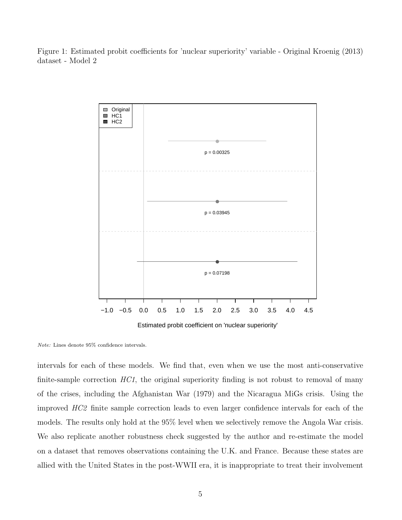Figure 1: Estimated probit coefficients for 'nuclear superiority' variable - Original Kroenig (2013) dataset - Model 2



Estimated probit coefficient on 'nuclear superiority'

intervals for each of these models. We find that, even when we use the most anti-conservative finite-sample correction  $HC1$ , the original superiority finding is not robust to removal of many of the crises, including the Afghanistan War (1979) and the Nicaragua MiGs crisis. Using the improved HC2 finite sample correction leads to even larger confidence intervals for each of the models. The results only hold at the 95% level when we selectively remove the Angola War crisis. We also replicate another robustness check suggested by the author and re-estimate the model on a dataset that removes observations containing the U.K. and France. Because these states are allied with the United States in the post-WWII era, it is inappropriate to treat their involvement

Note: Lines denote 95% confidence intervals.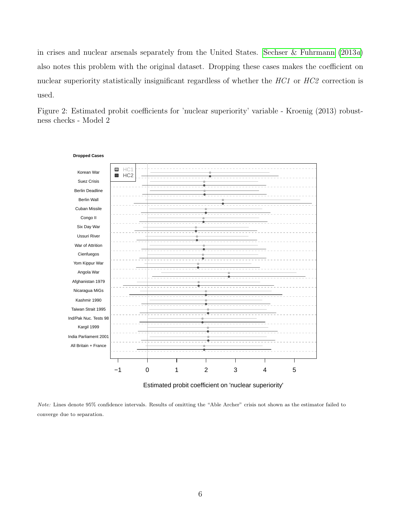in crises and nuclear arsenals separately from the United States. [Sechser & Fuhrmann](#page-25-1) [\(2013](#page-25-1)a) also notes this problem with the original dataset. Dropping these cases makes the coefficient on nuclear superiority statistically insignificant regardless of whether the HC1 or HC2 correction is used.

Figure 2: Estimated probit coefficients for 'nuclear superiority' variable - Kroenig (2013) robustness checks - Model 2



Estimated probit coefficient on 'nuclear superiority'

Note: Lines denote 95% confidence intervals. Results of omitting the "Able Archer" crisis not shown as the estimator failed to converge due to separation.

6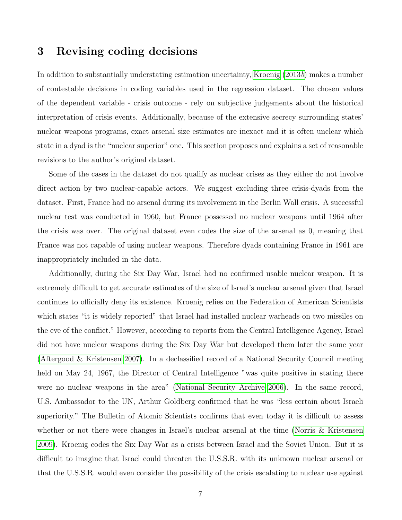#### 3 Revising coding decisions

In addition to substantially understating estimation uncertainty, [Kroenig](#page-24-0) [\(2013](#page-24-0)b) makes a number of contestable decisions in coding variables used in the regression dataset. The chosen values of the dependent variable - crisis outcome - rely on subjective judgements about the historical interpretation of crisis events. Additionally, because of the extensive secrecy surrounding states' nuclear weapons programs, exact arsenal size estimates are inexact and it is often unclear which state in a dyad is the "nuclear superior" one. This section proposes and explains a set of reasonable revisions to the author's original dataset.

Some of the cases in the dataset do not qualify as nuclear crises as they either do not involve direct action by two nuclear-capable actors. We suggest excluding three crisis-dyads from the dataset. First, France had no arsenal during its involvement in the Berlin Wall crisis. A successful nuclear test was conducted in 1960, but France possessed no nuclear weapons until 1964 after the crisis was over. The original dataset even codes the size of the arsenal as 0, meaning that France was not capable of using nuclear weapons. Therefore dyads containing France in 1961 are inappropriately included in the data.

Additionally, during the Six Day War, Israel had no confirmed usable nuclear weapon. It is extremely difficult to get accurate estimates of the size of Israel's nuclear arsenal given that Israel continues to officially deny its existence. Kroenig relies on the Federation of American Scientists which states "it is widely reported" that Israel had installed nuclear warheads on two missiles on the eve of the conflict." However, according to reports from the Central Intelligence Agency, Israel did not have nuclear weapons during the Six Day War but developed them later the same year [\(Aftergood & Kristensen 2007\)](#page-23-5). In a declassified record of a National Security Council meeting held on May 24, 1967, the Director of Central Intelligence "was quite positive in stating there were no nuclear weapons in the area" [\(National Security Archive 2006\)](#page-25-3). In the same record, U.S. Ambassador to the UN, Arthur Goldberg confirmed that he was "less certain about Israeli superiority." The Bulletin of Atomic Scientists confirms that even today it is difficult to assess whether or not there were changes in Israel's nuclear arsenal at the time [\(Norris & Kristensen](#page-25-4) [2009\)](#page-25-4). Kroenig codes the Six Day War as a crisis between Israel and the Soviet Union. But it is difficult to imagine that Israel could threaten the U.S.S.R. with its unknown nuclear arsenal or that the U.S.S.R. would even consider the possibility of the crisis escalating to nuclear use against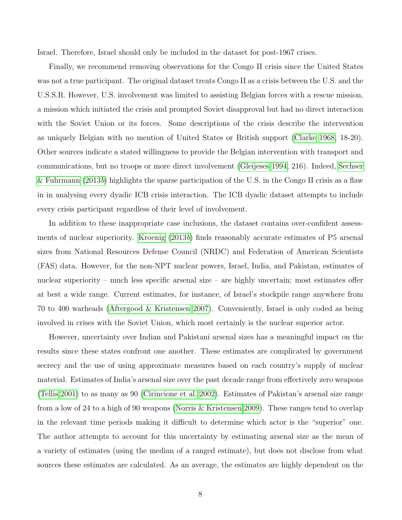Israel. Therefore, Israel should only be included in the dataset for post-1967 crises.

Finally, we recommend removing observations for the Congo II crisis since the United States was not a true participant. The original dataset treats Congo II as a crisis between the U.S. and the U.S.S.R. However, U.S. involvement was limited to assisting Belgian forces with a rescue mission, a mission which initiated the crisis and prompted Soviet disapproval but had no direct interaction with the Soviet Union or its forces. Some descriptions of the crisis describe the intervention as uniquely Belgian with no mention of United States or British support [\(Clarke 1968,](#page-23-6) 18-20). Other sources indicate a stated willingness to provide the Belgian intervention with transport and communications, but no troops or more direct involvement [\(Gleijeses 1994,](#page-24-4) 216). Indeed, [Sechser](#page-25-0) [& Fuhrmann](#page-25-0) [\(2013](#page-25-0)b) highlights the sparse participation of the U.S. in the Congo II crisis as a flaw in in analysing every dyadic ICB crisis interaction. The ICB dyadic dataset attempts to include every crisis participant regardless of their level of involvement.

In addition to these inappropriate case inclusions, the dataset contains over-confident assessments of nuclear superiority. [Kroenig](#page-24-0) [\(2013](#page-24-0)b) finds reasonably accurate estimates of P5 arsenal sizes from National Resources Defense Council (NRDC) and Federation of American Scientists (FAS) data. However, for the non-NPT nuclear powers, Israel, India, and Pakistan, estimates of nuclear superiority – much less specific arsenal size – are highly uncertain; most estimates offer at best a wide range. Current estimates, for instance, of Israel's stockpile range anywhere from 70 to 400 warheads [\(Aftergood & Kristensen 2007\)](#page-23-5). Conveniently, Israel is only coded as being involved in crises with the Soviet Union, which most certainly is the nuclear superior actor.

However, uncertainty over Indian and Pakistani arsenal sizes has a meaningful impact on the results since these states confront one another. These estimates are complicated by government secrecy and the use of using approximate measures based on each country's supply of nuclear material. Estimates of India's arsenal size over the past decade range from effectively zero weapons [\(Tellis 2001\)](#page-25-5) to as many as 90 [\(Cirincione et al. 2002\)](#page-23-7). Estimates of Pakistan's arsenal size range from a low of 24 to a high of 90 weapons [\(Norris & Kristensen 2009\)](#page-25-4). These ranges tend to overlap in the relevant time periods making it difficult to determine which actor is the "superior" one. The author attempts to account for this uncertainty by estimating arsenal size as the mean of a variety of estimates (using the median of a ranged estimate), but does not disclose from what sources these estimates are calculated. As an average, the estimates are highly dependent on the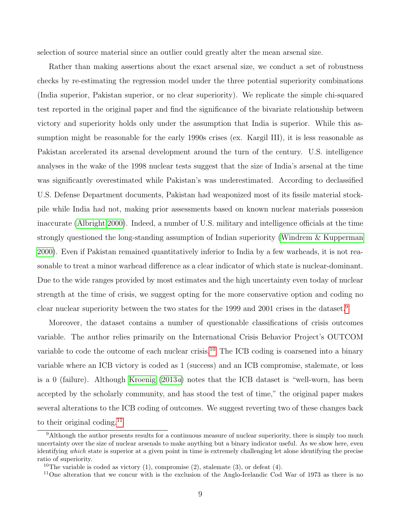selection of source material since an outlier could greatly alter the mean arsenal size.

Rather than making assertions about the exact arsenal size, we conduct a set of robustness checks by re-estimating the regression model under the three potential superiority combinations (India superior, Pakistan superior, or no clear superiority). We replicate the simple chi-squared test reported in the original paper and find the significance of the bivariate relationship between victory and superiority holds only under the assumption that India is superior. While this assumption might be reasonable for the early 1990s crises (ex. Kargil III), it is less reasonable as Pakistan accelerated its arsenal development around the turn of the century. U.S. intelligence analyses in the wake of the 1998 nuclear tests suggest that the size of India's arsenal at the time was significantly overestimated while Pakistan's was underestimated. According to declassified U.S. Defense Department documents, Pakistan had weaponized most of its fissile material stockpile while India had not, making prior assessments based on known nuclear materials possesion inaccurate [\(Albright 2000\)](#page-23-8). Indeed, a number of U.S. military and intelligence officials at the time strongly questioned the long-standing assumption of Indian superiority [\(Windrem & Kupperman](#page-26-1) [2000\)](#page-26-1). Even if Pakistan remained quantitatively inferior to India by a few warheads, it is not reasonable to treat a minor warhead difference as a clear indicator of which state is nuclear-dominant. Due to the wide ranges provided by most estimates and the high uncertainty even today of nuclear strength at the time of crisis, we suggest opting for the more conservative option and coding no clear nuclear superiority between the two states for the 1999 and 2001 crises in the dataset.[9](#page-9-0)

Moreover, the dataset contains a number of questionable classifications of crisis outcomes variable. The author relies primarily on the International Crisis Behavior Project's OUTCOM variable to code the outcome of each nuclear crisis.<sup>[10](#page-9-1)</sup> The ICB coding is coarsened into a binary variable where an ICB victory is coded as 1 (success) and an ICB compromise, stalemate, or loss is a 0 (failure). Although [Kroenig](#page-24-5) [\(2013](#page-24-5)a) notes that the ICB dataset is "well-worn, has been accepted by the scholarly community, and has stood the test of time," the original paper makes several alterations to the ICB coding of outcomes. We suggest reverting two of these changes back to their original coding.<sup>[11](#page-9-2)</sup>

<span id="page-9-0"></span><sup>&</sup>lt;sup>9</sup>Although the author presents results for a continuous measure of nuclear superiority, there is simply too much uncertainty over the size of nuclear arsenals to make anything but a binary indicator useful. As we show here, even identifying which state is superior at a given point in time is extremely challenging let alone identifying the precise ratio of superiority.

<span id="page-9-1"></span><sup>&</sup>lt;sup>10</sup>The variable is coded as victory  $(1)$ , compromise  $(2)$ , stalemate  $(3)$ , or defeat  $(4)$ .

<span id="page-9-2"></span><sup>&</sup>lt;sup>11</sup>One alteration that we concur with is the exclusion of the Anglo-Icelandic Cod War of 1973 as there is no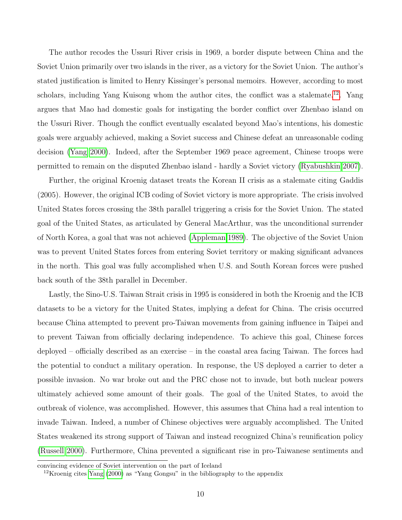The author recodes the Ussuri River crisis in 1969, a border dispute between China and the Soviet Union primarily over two islands in the river, as a victory for the Soviet Union. The author's stated justification is limited to Henry Kissinger's personal memoirs. However, according to most scholars, including Yang Kuisong whom the author cites, the conflict was a stalemate.<sup>[12](#page-10-0)</sup>. Yang argues that Mao had domestic goals for instigating the border conflict over Zhenbao island on the Ussuri River. Though the conflict eventually escalated beyond Mao's intentions, his domestic goals were arguably achieved, making a Soviet success and Chinese defeat an unreasonable coding decision [\(Yang 2000\)](#page-26-2). Indeed, after the September 1969 peace agreement, Chinese troops were permitted to remain on the disputed Zhenbao island - hardly a Soviet victory [\(Ryabushkin 2007\)](#page-25-6).

Further, the original Kroenig dataset treats the Korean II crisis as a stalemate citing Gaddis (2005). However, the original ICB coding of Soviet victory is more appropriate. The crisis involved United States forces crossing the 38th parallel triggering a crisis for the Soviet Union. The stated goal of the United States, as articulated by General MacArthur, was the unconditional surrender of North Korea, a goal that was not achieved [\(Appleman 1989\)](#page-23-9). The objective of the Soviet Union was to prevent United States forces from entering Soviet territory or making significant advances in the north. This goal was fully accomplished when U.S. and South Korean forces were pushed back south of the 38th parallel in December.

Lastly, the Sino-U.S. Taiwan Strait crisis in 1995 is considered in both the Kroenig and the ICB datasets to be a victory for the United States, implying a defeat for China. The crisis occurred because China attempted to prevent pro-Taiwan movements from gaining influence in Taipei and to prevent Taiwan from officially declaring independence. To achieve this goal, Chinese forces deployed – officially described as an exercise – in the coastal area facing Taiwan. The forces had the potential to conduct a military operation. In response, the US deployed a carrier to deter a possible invasion. No war broke out and the PRC chose not to invade, but both nuclear powers ultimately achieved some amount of their goals. The goal of the United States, to avoid the outbreak of violence, was accomplished. However, this assumes that China had a real intention to invade Taiwan. Indeed, a number of Chinese objectives were arguably accomplished. The United States weakened its strong support of Taiwan and instead recognized China's reunification policy [\(Russell 2000\)](#page-25-7). Furthermore, China prevented a significant rise in pro-Taiwanese sentiments and

convincing evidence of Soviet intervention on the part of Iceland

<span id="page-10-0"></span><sup>&</sup>lt;sup>12</sup>Kroenig cites [Yang](#page-26-2)  $(2000)$  as "Yang Gongsu" in the bibliography to the appendix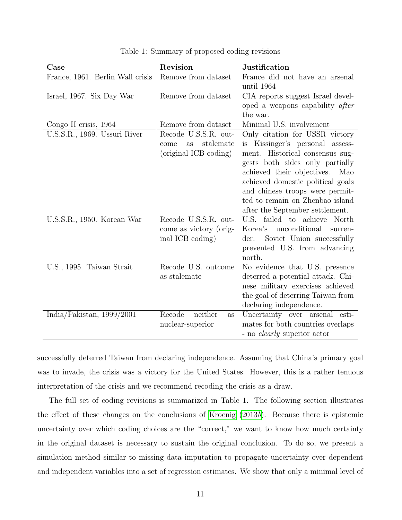| Case                             | Revision                | <b>Justification</b>                                               |
|----------------------------------|-------------------------|--------------------------------------------------------------------|
| France, 1961. Berlin Wall crisis | Remove from dataset     | France did not have an arsenal                                     |
|                                  |                         | until 1964                                                         |
| Israel, 1967. Six Day War        | Remove from dataset     | CIA reports suggest Israel devel-                                  |
|                                  |                         | oped a weapons capability after                                    |
|                                  |                         | the war.                                                           |
| Congo II crisis, 1964            | Remove from dataset     | Minimal U.S. involvement                                           |
| U.S.S.R., 1969. Ussuri River     | Recode U.S.S.R. out-    | Only citation for USSR victory                                     |
|                                  | stalemate<br>as<br>come | is Kissinger's personal assess-                                    |
|                                  | (original ICB coding)   | ment. Historical consensus sug-                                    |
|                                  |                         | gests both sides only partially                                    |
|                                  |                         | achieved their objectives.<br>Mao                                  |
|                                  |                         | achieved domestic political goals                                  |
|                                  |                         | and chinese troops were permit-                                    |
|                                  |                         | ted to remain on Zhenbao island                                    |
|                                  | Recode U.S.S.R. out-    | after the September settlement.<br>failed to achieve North<br>U.S. |
| U.S.S.R., 1950. Korean War       | come as victory (orig-  | Korea's<br>unconditional                                           |
|                                  | inal ICB coding)        | surren-<br>Soviet Union successfully<br>der.                       |
|                                  |                         | prevented U.S. from advancing                                      |
|                                  |                         | north.                                                             |
| U.S., 1995. Taiwan Strait        | Recode U.S. outcome     | No evidence that U.S. presence                                     |
|                                  | as stalemate            | deterred a potential attack. Chi-                                  |
|                                  |                         | nese military exercises achieved                                   |
|                                  |                         | the goal of deterring Taiwan from                                  |
|                                  |                         | declaring independence.                                            |
| India/Pakistan, $1999/2001$      | neither<br>Recode<br>as | Uncertainty over arsenal esti-                                     |
|                                  | nuclear-superior        | mates for both countries overlaps                                  |
|                                  |                         | - no <i>clearly</i> superior actor                                 |

Table 1: Summary of proposed coding revisions

successfully deterred Taiwan from declaring independence. Assuming that China's primary goal was to invade, the crisis was a victory for the United States. However, this is a rather tenuous interpretation of the crisis and we recommend recoding the crisis as a draw.

The full set of coding revisions is summarized in Table 1. The following section illustrates the effect of these changes on the conclusions of [Kroenig](#page-24-0) [\(2013](#page-24-0)b). Because there is epistemic uncertainty over which coding choices are the "correct," we want to know how much certainty in the original dataset is necessary to sustain the original conclusion. To do so, we present a simulation method similar to missing data imputation to propagate uncertainty over dependent and independent variables into a set of regression estimates. We show that only a minimal level of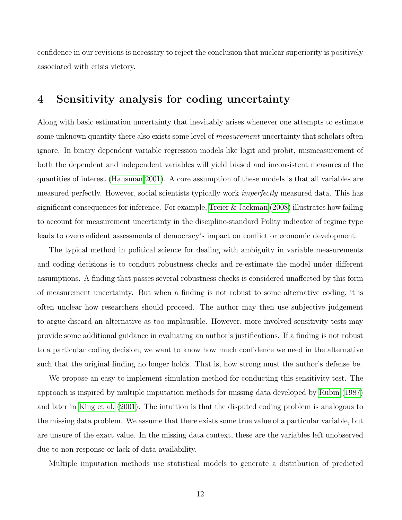confidence in our revisions is necessary to reject the conclusion that nuclear superiority is positively associated with crisis victory.

#### 4 Sensitivity analysis for coding uncertainty

Along with basic estimation uncertainty that inevitably arises whenever one attempts to estimate some unknown quantity there also exists some level of *measurement* uncertainty that scholars often ignore. In binary dependent variable regression models like logit and probit, mismeasurement of both the dependent and independent variables will yield biased and inconsistent measures of the quantities of interest [\(Hausman 2001\)](#page-24-6). A core assumption of these models is that all variables are measured perfectly. However, social scientists typically work *imperfectly* measured data. This has significant consequences for inference. For example, [Treier & Jackman](#page-25-8) [\(2008\)](#page-25-8) illustrates how failing to account for measurement uncertainty in the discipline-standard Polity indicator of regime type leads to overconfident assessments of democracy's impact on conflict or economic development.

The typical method in political science for dealing with ambiguity in variable measurements and coding decisions is to conduct robustness checks and re-estimate the model under different assumptions. A finding that passes several robustness checks is considered unaffected by this form of measurement uncertainty. But when a finding is not robust to some alternative coding, it is often unclear how researchers should proceed. The author may then use subjective judgement to argue discard an alternative as too implausible. However, more involved sensitivity tests may provide some additional guidance in evaluating an author's justifications. If a finding is not robust to a particular coding decision, we want to know how much confidence we need in the alternative such that the original finding no longer holds. That is, how strong must the author's defense be.

We propose an easy to implement simulation method for conducting this sensitivity test. The approach is inspired by multiple imputation methods for missing data developed by [Rubin](#page-25-9) [\(1987\)](#page-25-9) and later in [King et al.](#page-24-7) [\(2001\)](#page-24-7). The intuition is that the disputed coding problem is analogous to the missing data problem. We assume that there exists some true value of a particular variable, but are unsure of the exact value. In the missing data context, these are the variables left unobserved due to non-response or lack of data availability.

Multiple imputation methods use statistical models to generate a distribution of predicted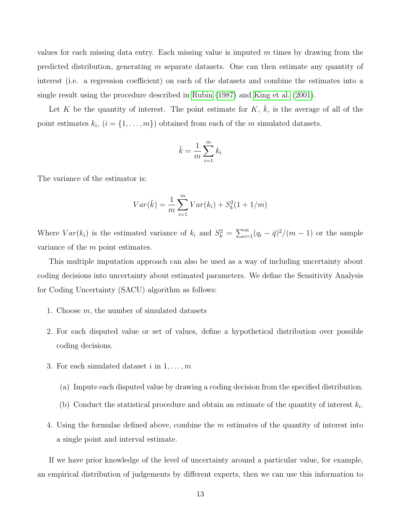values for each missing data entry. Each missing value is imputed  $m$  times by drawing from the predicted distribution, generating m separate datasets. One can then estimate any quantity of interest (i.e. a regression coefficient) on each of the datasets and combine the estimates into a single result using the procedure described in [Rubin](#page-25-9) [\(1987\)](#page-25-9) and [King et al.](#page-24-7) [\(2001\)](#page-24-7).

Let K be the quantity of interest. The point estimate for  $K, \overline{k}$ , is the average of all of the point estimates  $k_i$ ,  $(i = \{1, \ldots, m\})$  obtained from each of the m simulated datasets.

$$
\bar{k} = \frac{1}{m} \sum_{i=1}^{m} k_i
$$

The variance of the estimator is:

$$
Var(\bar{k}) = \frac{1}{m} \sum_{i=1}^{m} Var(k_i) + S_k^2(1 + 1/m)
$$

Where  $Var(k_i)$  is the estimated variance of  $k_i$  and  $S_k^2 = \sum_{i=1}^m (q_i - \bar{q})^2/(m-1)$  or the sample variance of the m point estimates.

This multiple imputation approach can also be used as a way of including uncertainty about coding decisions into uncertainty about estimated parameters. We define the Sensitivity Analysis for Coding Uncertainty (SACU) algorithm as follows:

- 1. Choose m, the number of simulated datasets
- 2. For each disputed value or set of values, define a hypothetical distribution over possible coding decisions.
- 3. For each simulated dataset i in  $1, \ldots, m$ 
	- (a) Impute each disputed value by drawing a coding decision from the specified distribution.
	- (b) Conduct the statistical procedure and obtain an estimate of the quantity of interest  $k_i$ .
- 4. Using the formulae defined above, combine the m estimates of the quantity of interest into a single point and interval estimate.

If we have prior knowledge of the level of uncertainty around a particular value, for example, an empirical distribution of judgements by different experts, then we can use this information to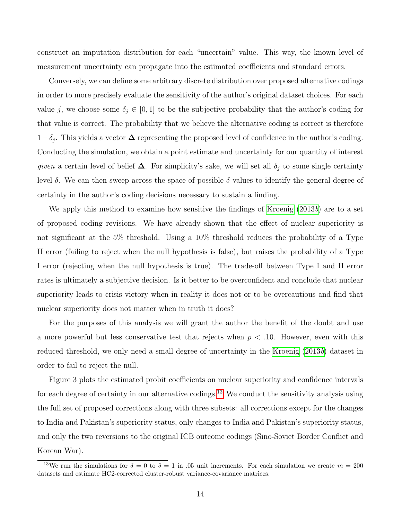construct an imputation distribution for each "uncertain" value. This way, the known level of measurement uncertainty can propagate into the estimated coefficients and standard errors.

Conversely, we can define some arbitrary discrete distribution over proposed alternative codings in order to more precisely evaluate the sensitivity of the author's original dataset choices. For each value j, we choose some  $\delta_j \in [0,1]$  to be the subjective probability that the author's coding for that value is correct. The probability that we believe the alternative coding is correct is therefore  $1-\delta_j$ . This yields a vector  $\Delta$  representing the proposed level of confidence in the author's coding. Conducting the simulation, we obtain a point estimate and uncertainty for our quantity of interest given a certain level of belief  $\Delta$ . For simplicity's sake, we will set all  $\delta_j$  to some single certainty level δ. We can then sweep across the space of possible δ values to identify the general degree of certainty in the author's coding decisions necessary to sustain a finding.

We apply this method to examine how sensitive the findings of [Kroenig](#page-24-0)  $(2013b)$  $(2013b)$  are to a set of proposed coding revisions. We have already shown that the effect of nuclear superiority is not significant at the 5% threshold. Using a 10% threshold reduces the probability of a Type II error (failing to reject when the null hypothesis is false), but raises the probability of a Type I error (rejecting when the null hypothesis is true). The trade-off between Type I and II error rates is ultimately a subjective decision. Is it better to be overconfident and conclude that nuclear superiority leads to crisis victory when in reality it does not or to be overcautious and find that nuclear superiority does not matter when in truth it does?

For the purposes of this analysis we will grant the author the benefit of the doubt and use a more powerful but less conservative test that rejects when  $p < 0.10$ . However, even with this reduced threshold, we only need a small degree of uncertainty in the [Kroenig](#page-24-0) [\(2013](#page-24-0)b) dataset in order to fail to reject the null.

Figure 3 plots the estimated probit coefficients on nuclear superiority and confidence intervals for each degree of certainty in our alternative codings.<sup>[13](#page-14-0)</sup> We conduct the sensitivity analysis using the full set of proposed corrections along with three subsets: all corrections except for the changes to India and Pakistan's superiority status, only changes to India and Pakistan's superiority status, and only the two reversions to the original ICB outcome codings (Sino-Soviet Border Conflict and Korean War).

<span id="page-14-0"></span><sup>&</sup>lt;sup>13</sup>We run the simulations for  $\delta = 0$  to  $\delta = 1$  in .05 unit increments. For each simulation we create  $m = 200$ datasets and estimate HC2-corrected cluster-robust variance-covariance matrices.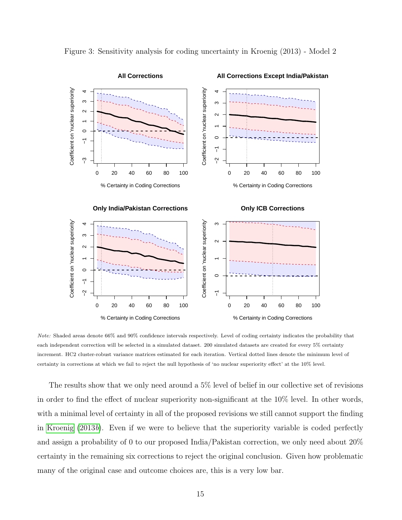

Figure 3: Sensitivity analysis for coding uncertainty in Kroenig (2013) - Model 2

Note: Shaded areas denote 66% and 90% confidence intervals respectively. Level of coding certainty indicates the probability that each independent correction will be selected in a simulated dataset. 200 simulated datasets are created for every 5% certainty increment. HC2 cluster-robust variance matrices estimated for each iteration. Vertical dotted lines denote the minimum level of certainty in corrections at which we fail to reject the null hypothesis of 'no nuclear superiority effect' at the 10% level.

The results show that we only need around a 5% level of belief in our collective set of revisions in order to find the effect of nuclear superiority non-significant at the 10% level. In other words, with a minimal level of certainty in all of the proposed revisions we still cannot support the finding in [Kroenig](#page-24-0) [\(2013](#page-24-0)b). Even if we were to believe that the superiority variable is coded perfectly and assign a probability of 0 to our proposed India/Pakistan correction, we only need about 20% certainty in the remaining six corrections to reject the original conclusion. Given how problematic many of the original case and outcome choices are, this is a very low bar.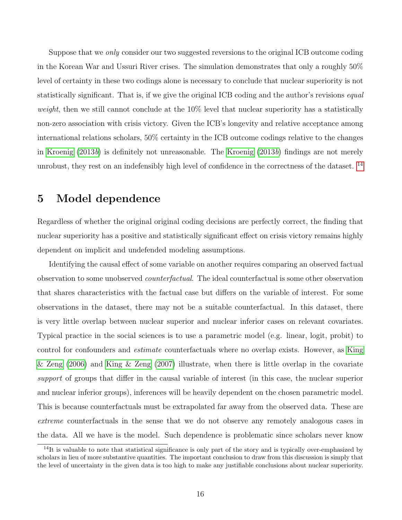Suppose that we only consider our two suggested reversions to the original ICB outcome coding in the Korean War and Ussuri River crises. The simulation demonstrates that only a roughly 50% level of certainty in these two codings alone is necessary to conclude that nuclear superiority is not statistically significant. That is, if we give the original ICB coding and the author's revisions *equal weight*, then we still cannot conclude at the  $10\%$  level that nuclear superiority has a statistically non-zero association with crisis victory. Given the ICB's longevity and relative acceptance among international relations scholars, 50% certainty in the ICB outcome codings relative to the changes in [Kroenig](#page-24-0) [\(2013](#page-24-0)b) is definitely not unreasonable. The [Kroenig](#page-24-0) [\(2013](#page-24-0)b) findings are not merely unrobust, they rest on an indefensibly high level of confidence in the correctness of the dataset. <sup>[14](#page-16-0)</sup>

#### 5 Model dependence

Regardless of whether the original original coding decisions are perfectly correct, the finding that nuclear superiority has a positive and statistically significant effect on crisis victory remains highly dependent on implicit and undefended modeling assumptions.

Identifying the causal effect of some variable on another requires comparing an observed factual observation to some unobserved counterfactual. The ideal counterfactual is some other observation that shares characteristics with the factual case but differs on the variable of interest. For some observations in the dataset, there may not be a suitable counterfactual. In this dataset, there is very little overlap between nuclear superior and nuclear inferior cases on relevant covariates. Typical practice in the social sciences is to use a parametric model (e.g. linear, logit, probit) to control for confounders and estimate counterfactuals where no overlap exists. However, as [King](#page-24-8) [& Zeng](#page-24-8) [\(2006\)](#page-24-8) and [King & Zeng](#page-24-9) [\(2007\)](#page-24-9) illustrate, when there is little overlap in the covariate support of groups that differ in the causal variable of interest (in this case, the nuclear superior and nuclear inferior groups), inferences will be heavily dependent on the chosen parametric model. This is because counterfactuals must be extrapolated far away from the observed data. These are extreme counterfactuals in the sense that we do not observe any remotely analogous cases in the data. All we have is the model. Such dependence is problematic since scholars never know

<span id="page-16-0"></span> $14$ It is valuable to note that statistical significance is only part of the story and is typically over-emphasized by scholars in lieu of more substantive quantities. The important conclusion to draw from this discussion is simply that the level of uncertainty in the given data is too high to make any justifiable conclusions about nuclear superiority.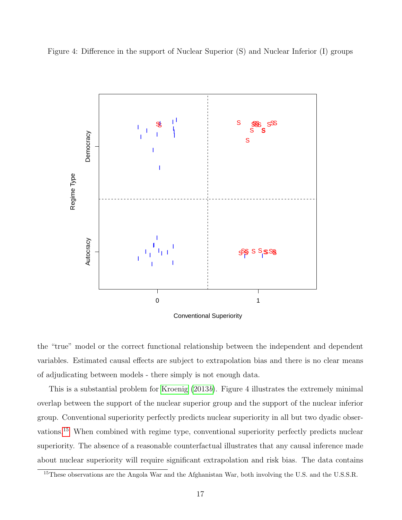



Conventional Superiority

the "true" model or the correct functional relationship between the independent and dependent variables. Estimated causal effects are subject to extrapolation bias and there is no clear means of adjudicating between models - there simply is not enough data.

This is a substantial problem for [Kroenig](#page-24-0) [\(2013](#page-24-0)b). Figure 4 illustrates the extremely minimal overlap between the support of the nuclear superior group and the support of the nuclear inferior group. Conventional superiority perfectly predicts nuclear superiority in all but two dyadic observations.[15](#page-17-0) When combined with regime type, conventional superiority perfectly predicts nuclear superiority. The absence of a reasonable counterfactual illustrates that any causal inference made about nuclear superiority will require significant extrapolation and risk bias. The data contains

<span id="page-17-0"></span><sup>&</sup>lt;sup>15</sup>These observations are the Angola War and the Afghanistan War, both involving the U.S. and the U.S.S.R.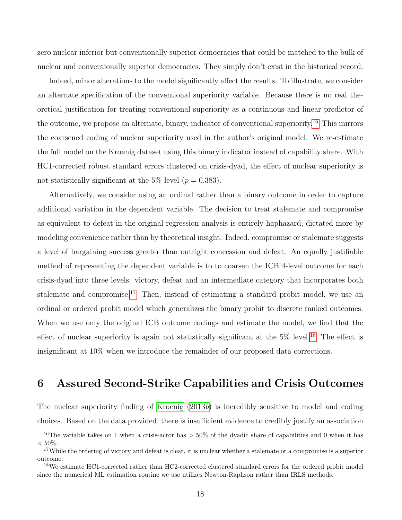zero nuclear inferior but conventionally superior democracies that could be matched to the bulk of nuclear and conventionally superior democracies. They simply don't exist in the historical record.

Indeed, minor alterations to the model significantly affect the results. To illustrate, we consider an alternate specification of the conventional superiority variable. Because there is no real theoretical justification for treating conventional superiority as a continuous and linear predictor of the outcome, we propose an alternate, binary, indicator of conventional superiority.<sup>[16](#page-18-0)</sup> This mirrors the coarsened coding of nuclear superiority used in the author's original model. We re-estimate the full model on the Kroenig dataset using this binary indicator instead of capability share. With HC1-corrected robust standard errors clustered on crisis-dyad, the effect of nuclear superiority is not statistically significant at the 5% level ( $p = 0.383$ ).

Alternatively, we consider using an ordinal rather than a binary outcome in order to capture additional variation in the dependent variable. The decision to treat stalemate and compromise as equivalent to defeat in the original regression analysis is entirely haphazard, dictated more by modeling convenience rather than by theoretical insight. Indeed, compromise or stalemate suggests a level of bargaining success greater than outright concession and defeat. An equally justifiable method of representing the dependent variable is to to coarsen the ICB 4-level outcome for each crisis-dyad into three levels: victory, defeat and an intermediate category that incorporates both stalemate and compromise.<sup>[17](#page-18-1)</sup> Then, instead of estimating a standard probit model, we use an ordinal or ordered probit model which generalizes the binary probit to discrete ranked outcomes. When we use only the original ICB outcome codings and estimate the model, we find that the effect of nuclear superiority is again not statistically significant at the  $5\%$  level.<sup>[18](#page-18-2)</sup> The effect is insignificant at 10% when we introduce the remainder of our proposed data corrections.

#### 6 Assured Second-Strike Capabilities and Crisis Outcomes

The nuclear superiority finding of [Kroenig](#page-24-0) [\(2013](#page-24-0)b) is incredibly sensitive to model and coding choices. Based on the data provided, there is insufficient evidence to credibly justify an association

<span id="page-18-0"></span><sup>&</sup>lt;sup>16</sup>The variable takes on 1 when a crisis-actor has  $> 50\%$  of the dyadic share of capabilities and 0 when it has  $< 50\%$ .

<span id="page-18-1"></span> $17$ While the ordering of victory and defeat is clear, it is unclear whether a stalemate or a compromise is a superior outcome.

<span id="page-18-2"></span><sup>18</sup>We estimate HC1-corrected rather than HC2-corrected clustered standard errors for the ordered probit model since the numerical ML estimation routine we use utilizes Newton-Raphson rather than IRLS methods.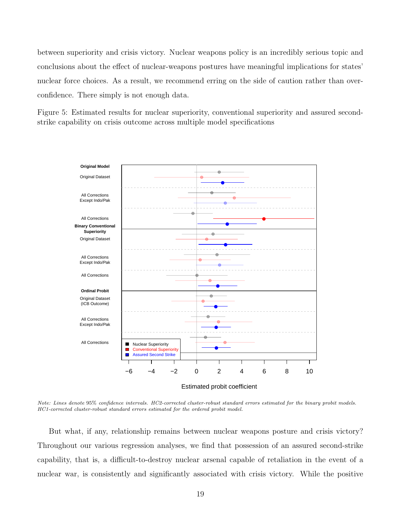between superiority and crisis victory. Nuclear weapons policy is an incredibly serious topic and conclusions about the effect of nuclear-weapons postures have meaningful implications for states' nuclear force choices. As a result, we recommend erring on the side of caution rather than overconfidence. There simply is not enough data.

Figure 5: Estimated results for nuclear superiority, conventional superiority and assured secondstrike capability on crisis outcome across multiple model specifications



Note: Lines denote 95% confidence intervals. HC2-corrected cluster-robust standard errors estimated for the binary probit models. HC1-corrected cluster-robust standard errors estimated for the ordered probit model.

But what, if any, relationship remains between nuclear weapons posture and crisis victory? Throughout our various regression analyses, we find that possession of an assured second-strike capability, that is, a difficult-to-destroy nuclear arsenal capable of retaliation in the event of a nuclear war, is consistently and significantly associated with crisis victory. While the positive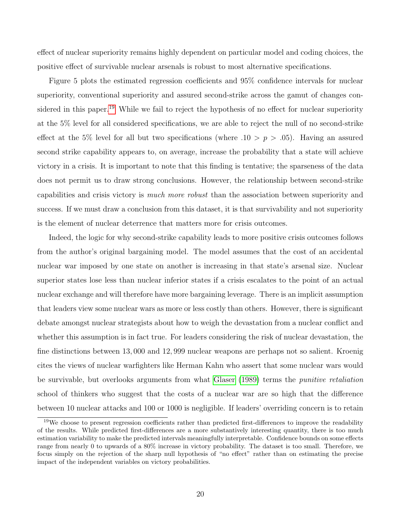effect of nuclear superiority remains highly dependent on particular model and coding choices, the positive effect of survivable nuclear arsenals is robust to most alternative specifications.

Figure 5 plots the estimated regression coefficients and 95% confidence intervals for nuclear superiority, conventional superiority and assured second-strike across the gamut of changes con-sidered in this paper.<sup>[19](#page-20-0)</sup> While we fail to reject the hypothesis of no effect for nuclear superiority at the 5% level for all considered specifications, we are able to reject the null of no second-strike effect at the 5% level for all but two specifications (where .10 >  $p > .05$ ). Having an assured second strike capability appears to, on average, increase the probability that a state will achieve victory in a crisis. It is important to note that this finding is tentative; the sparseness of the data does not permit us to draw strong conclusions. However, the relationship between second-strike capabilities and crisis victory is much more robust than the association between superiority and success. If we must draw a conclusion from this dataset, it is that survivability and not superiority is the element of nuclear deterrence that matters more for crisis outcomes.

Indeed, the logic for why second-strike capability leads to more positive crisis outcomes follows from the author's original bargaining model. The model assumes that the cost of an accidental nuclear war imposed by one state on another is increasing in that state's arsenal size. Nuclear superior states lose less than nuclear inferior states if a crisis escalates to the point of an actual nuclear exchange and will therefore have more bargaining leverage. There is an implicit assumption that leaders view some nuclear wars as more or less costly than others. However, there is significant debate amongst nuclear strategists about how to weigh the devastation from a nuclear conflict and whether this assumption is in fact true. For leaders considering the risk of nuclear devastation, the fine distinctions between 13, 000 and 12, 999 nuclear weapons are perhaps not so salient. Kroenig cites the views of nuclear warfighters like Herman Kahn who assert that some nuclear wars would be survivable, but overlooks arguments from what [Glaser](#page-23-10) [\(1989\)](#page-23-10) terms the *punitive retaliation* school of thinkers who suggest that the costs of a nuclear war are so high that the difference between 10 nuclear attacks and 100 or 1000 is negligible. If leaders' overriding concern is to retain

<span id="page-20-0"></span><sup>&</sup>lt;sup>19</sup>We choose to present regression coefficients rather than predicted first-differences to improve the readability of the results. While predicted first-differences are a more substantively interesting quantity, there is too much estimation variability to make the predicted intervals meaningfully interpretable. Confidence bounds on some effects range from nearly 0 to upwards of a 80% increase in victory probability. The dataset is too small. Therefore, we focus simply on the rejection of the sharp null hypothesis of "no effect" rather than on estimating the precise impact of the independent variables on victory probabilities.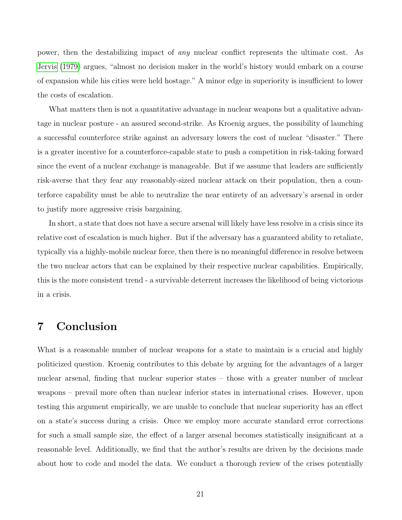power, then the destabilizing impact of any nuclear conflict represents the ultimate cost. As [Jervis](#page-24-10) [\(1979\)](#page-24-10) argues, "almost no decision maker in the world's history would embark on a course of expansion while his cities were held hostage." A minor edge in superiority is insufficient to lower the costs of escalation.

What matters then is not a quantitative advantage in nuclear weapons but a qualitative advantage in nuclear posture - an assured second-strike. As Kroenig argues, the possibility of launching a successful counterforce strike against an adversary lowers the cost of nuclear "disaster." There is a greater incentive for a counterforce-capable state to push a competition in risk-taking forward since the event of a nuclear exchange is manageable. But if we assume that leaders are sufficiently risk-averse that they fear any reasonably-sized nuclear attack on their population, then a counterforce capability must be able to neutralize the near entirety of an adversary's arsenal in order to justify more aggressive crisis bargaining.

In short, a state that does not have a secure arsenal will likely have less resolve in a crisis since its relative cost of escalation is much higher. But if the adversary has a guaranteed ability to retaliate, typically via a highly-mobile nuclear force, then there is no meaningful difference in resolve between the two nuclear actors that can be explained by their respective nuclear capabilities. Empirically, this is the more consistent trend - a survivable deterrent increases the likelihood of being victorious in a crisis.

#### 7 Conclusion

What is a reasonable number of nuclear weapons for a state to maintain is a crucial and highly politicized question. Kroenig contributes to this debate by arguing for the advantages of a larger nuclear arsenal, finding that nuclear superior states – those with a greater number of nuclear weapons – prevail more often than nuclear inferior states in international crises. However, upon testing this argument empirically, we are unable to conclude that nuclear superiority has an effect on a state's success during a crisis. Once we employ more accurate standard error corrections for such a small sample size, the effect of a larger arsenal becomes statistically insignificant at a reasonable level. Additionally, we find that the author's results are driven by the decisions made about how to code and model the data. We conduct a thorough review of the crises potentially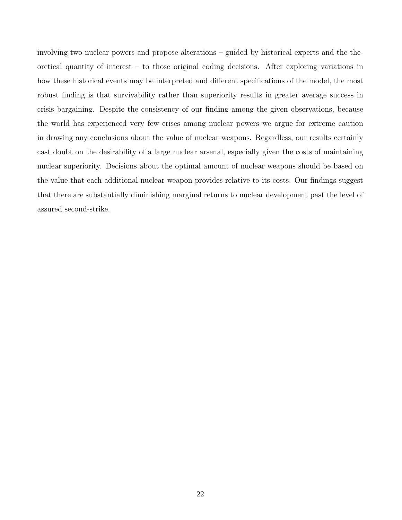involving two nuclear powers and propose alterations – guided by historical experts and the theoretical quantity of interest – to those original coding decisions. After exploring variations in how these historical events may be interpreted and different specifications of the model, the most robust finding is that survivability rather than superiority results in greater average success in crisis bargaining. Despite the consistency of our finding among the given observations, because the world has experienced very few crises among nuclear powers we argue for extreme caution in drawing any conclusions about the value of nuclear weapons. Regardless, our results certainly cast doubt on the desirability of a large nuclear arsenal, especially given the costs of maintaining nuclear superiority. Decisions about the optimal amount of nuclear weapons should be based on the value that each additional nuclear weapon provides relative to its costs. Our findings suggest that there are substantially diminishing marginal returns to nuclear development past the level of assured second-strike.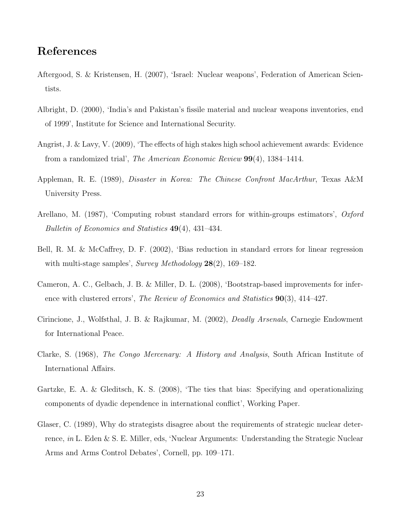#### References

- <span id="page-23-5"></span>Aftergood, S. & Kristensen, H. (2007), 'Israel: Nuclear weapons', Federation of American Scientists.
- <span id="page-23-8"></span>Albright, D. (2000), 'India's and Pakistan's fissile material and nuclear weapons inventories, end of 1999', Institute for Science and International Security.
- <span id="page-23-3"></span>Angrist, J. & Lavy, V. (2009), 'The effects of high stakes high school achievement awards: Evidence from a randomized trial', The American Economic Review 99(4), 1384–1414.
- <span id="page-23-9"></span>Appleman, R. E. (1989), Disaster in Korea: The Chinese Confront MacArthur, Texas A&M University Press.
- <span id="page-23-2"></span>Arellano, M. (1987), 'Computing robust standard errors for within-groups estimators', Oxford Bulletin of Economics and Statistics 49(4), 431–434.
- <span id="page-23-1"></span>Bell, R. M. & McCaffrey, D. F. (2002), 'Bias reduction in standard errors for linear regression with multi-stage samples', Survey Methodology 28(2), 169–182.
- <span id="page-23-4"></span>Cameron, A. C., Gelbach, J. B. & Miller, D. L. (2008), 'Bootstrap-based improvements for inference with clustered errors', The Review of Economics and Statistics  $90(3)$ , 414–427.
- <span id="page-23-7"></span>Cirincione, J., Wolfsthal, J. B. & Rajkumar, M. (2002), Deadly Arsenals, Carnegie Endowment for International Peace.
- <span id="page-23-6"></span>Clarke, S. (1968), The Congo Mercenary: A History and Analysis, South African Institute of International Affairs.
- <span id="page-23-0"></span>Gartzke, E. A. & Gleditsch, K. S. (2008), 'The ties that bias: Specifying and operationalizing components of dyadic dependence in international conflict', Working Paper.
- <span id="page-23-10"></span>Glaser, C. (1989), Why do strategists disagree about the requirements of strategic nuclear deterrence, in L. Eden & S. E. Miller, eds, 'Nuclear Arguments: Understanding the Strategic Nuclear Arms and Arms Control Debates', Cornell, pp. 109–171.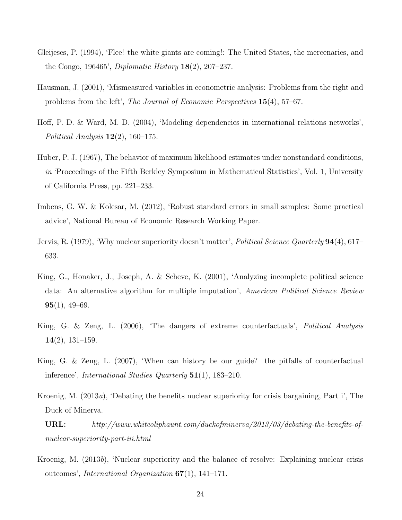- <span id="page-24-4"></span>Gleijeses, P. (1994), 'Flee! the white giants are coming!: The United States, the mercenaries, and the Congo, 196465', *Diplomatic History*  $18(2)$ , 207–237.
- <span id="page-24-6"></span>Hausman, J. (2001), 'Mismeasured variables in econometric analysis: Problems from the right and problems from the left', The Journal of Economic Perspectives 15(4), 57–67.
- <span id="page-24-1"></span>Hoff, P. D. & Ward, M. D. (2004), 'Modeling dependencies in international relations networks', Political Analysis  $12(2)$ , 160–175.
- <span id="page-24-2"></span>Huber, P. J. (1967), The behavior of maximum likelihood estimates under nonstandard conditions, in 'Proceedings of the Fifth Berkley Symposium in Mathematical Statistics', Vol. 1, University of California Press, pp. 221–233.
- <span id="page-24-3"></span>Imbens, G. W. & Kolesar, M. (2012), 'Robust standard errors in small samples: Some practical advice', National Bureau of Economic Research Working Paper.
- <span id="page-24-10"></span>Jervis, R. (1979), 'Why nuclear superiority doesn't matter', *Political Science Quarterly* **94**(4), 617– 633.
- <span id="page-24-7"></span>King, G., Honaker, J., Joseph, A. & Scheve, K. (2001), 'Analyzing incomplete political science data: An alternative algorithm for multiple imputation', American Political Science Review  $95(1), 49-69.$
- <span id="page-24-8"></span>King, G. & Zeng, L. (2006), 'The dangers of extreme counterfactuals', Political Analysis  $14(2)$ , 131–159.
- <span id="page-24-9"></span>King, G. & Zeng, L. (2007), 'When can history be our guide? the pitfalls of counterfactual inference', International Studies Quarterly 51(1), 183–210.
- <span id="page-24-5"></span>Kroenig, M. (2013a), 'Debating the benefits nuclear superiority for crisis bargaining, Part i', The Duck of Minerva.
	- URL: http://www.whiteoliphaunt.com/duckofminerva/2013/03/debating-the-benefits-ofnuclear-superiority-part-iii.html
- <span id="page-24-0"></span>Kroenig, M. (2013b), 'Nuclear superiority and the balance of resolve: Explaining nuclear crisis outcomes', International Organization 67(1), 141–171.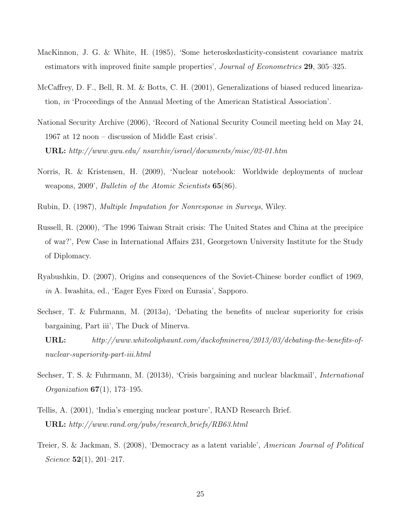- <span id="page-25-2"></span>MacKinnon, J. G. & White, H. (1985), 'Some heteroskedasticity-consistent covariance matrix estimators with improved finite sample properties', *Journal of Econometrics* 29, 305–325.
- <span id="page-25-10"></span>McCaffrey, D. F., Bell, R. M. & Botts, C. H. (2001), Generalizations of biased reduced linearization, in 'Proceedings of the Annual Meeting of the American Statistical Association'.
- <span id="page-25-3"></span>National Security Archive (2006), 'Record of National Security Council meeting held on May 24, 1967 at 12 noon – discussion of Middle East crisis'. URL: http://www.gwu.edu/ nsarchiv/israel/documents/misc/02-01.htm
- <span id="page-25-4"></span>Norris, R. & Kristensen, H. (2009), 'Nuclear notebook: Worldwide deployments of nuclear weapons, 2009', *Bulletin of the Atomic Scientists* **65**(86).
- <span id="page-25-9"></span>Rubin, D. (1987), Multiple Imputation for Nonresponse in Surveys, Wiley.
- <span id="page-25-7"></span>Russell, R. (2000), 'The 1996 Taiwan Strait crisis: The United States and China at the precipice of war?', Pew Case in International Affairs 231, Georgetown University Institute for the Study of Diplomacy.
- <span id="page-25-6"></span>Ryabushkin, D. (2007), Origins and consequences of the Soviet-Chinese border conflict of 1969, in A. Iwashita, ed., 'Eager Eyes Fixed on Eurasia', Sapporo.
- <span id="page-25-1"></span>Sechser, T. & Fuhrmann, M.  $(2013a)$ , 'Debating the benefits of nuclear superiority for crisis bargaining, Part iii', The Duck of Minerva.
	- URL: http://www.whiteoliphaunt.com/duckofminerva/2013/03/debating-the-benefits-ofnuclear-superiority-part-iii.html
- <span id="page-25-0"></span>Sechser, T. S. & Fuhrmann, M. (2013b), 'Crisis bargaining and nuclear blackmail', *International Organization*  $67(1)$ , 173-195.
- <span id="page-25-5"></span>Tellis, A. (2001), 'India's emerging nuclear posture', RAND Research Brief. URL: http://www.rand.org/pubs/research briefs/RB63.html
- <span id="page-25-8"></span>Treier, S. & Jackman, S. (2008), 'Democracy as a latent variable', American Journal of Political Science  $52(1)$ , 201–217.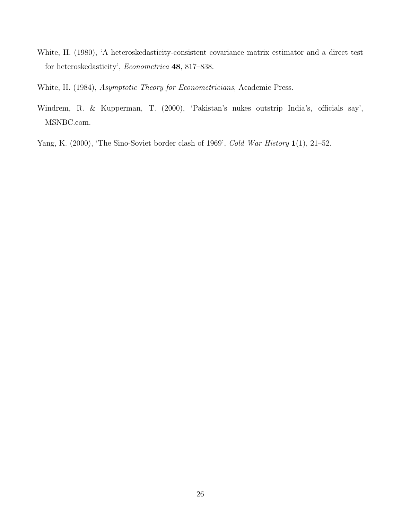- <span id="page-26-0"></span>White, H. (1980), 'A heteroskedasticity-consistent covariance matrix estimator and a direct test for heteroskedasticity', Econometrica 48, 817–838.
- <span id="page-26-3"></span>White, H. (1984), Asymptotic Theory for Econometricians, Academic Press.
- <span id="page-26-1"></span>Windrem, R. & Kupperman, T. (2000), 'Pakistan's nukes outstrip India's, officials say', MSNBC.com.
- <span id="page-26-2"></span>Yang, K. (2000), 'The Sino-Soviet border clash of 1969', Cold War History 1(1), 21-52.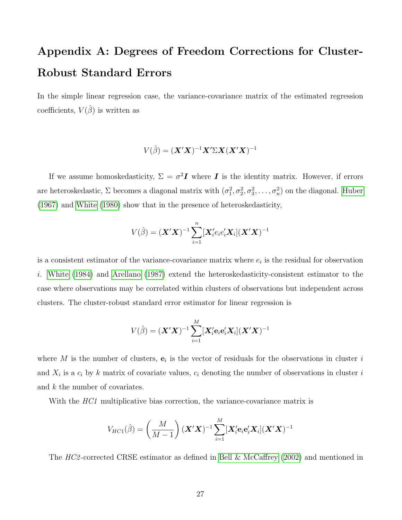# Appendix A: Degrees of Freedom Corrections for Cluster-Robust Standard Errors

In the simple linear regression case, the variance-covariance matrix of the estimated regression coefficients,  $V(\hat{\beta})$  is written as

$$
V(\hat{\beta}) = (\mathbf{X}'\mathbf{X})^{-1}\mathbf{X}'\Sigma\mathbf{X}(\mathbf{X}'\mathbf{X})^{-1}
$$

If we assume homoskedasticity,  $\Sigma = \sigma^2 I$  where I is the identity matrix. However, if errors are heteroskedastic,  $\Sigma$  becomes a diagonal matrix with  $(\sigma_1^2, \sigma_2^2, \sigma_3^2, \ldots, \sigma_n^2)$  on the diagonal. [Huber](#page-24-2) [\(1967\)](#page-24-2) and [White](#page-26-0) [\(1980\)](#page-26-0) show that in the presence of heteroskedasticity,

$$
V(\hat{\beta}) = (\mathbf{X}'\mathbf{X})^{-1} \sum_{i=1}^{n} [\mathbf{X}'_i e_i e'_i \mathbf{X}_i] (\mathbf{X}'\mathbf{X})^{-1}
$$

is a consistent estimator of the variance-covariance matrix where  $e_i$  is the residual for observation i. [White](#page-26-3) [\(1984\)](#page-26-3) and [Arellano](#page-23-2) [\(1987\)](#page-23-2) extend the heteroskedasticity-consistent estimator to the case where observations may be correlated within clusters of observations but independent across clusters. The cluster-robust standard error estimator for linear regression is

$$
V(\hat{\beta}) = (\boldsymbol{X}'\boldsymbol{X})^{-1} \sum_{i=1}^{M} [\boldsymbol{X}'_i \mathbf{e}_i \mathbf{e}'_i \boldsymbol{X}_i] (\boldsymbol{X}'\boldsymbol{X})^{-1}
$$

where M is the number of clusters,  $e_i$  is the vector of residuals for the observations in cluster i and  $X_i$  is a  $c_i$  by k matrix of covariate values,  $c_i$  denoting the number of observations in cluster i and k the number of covariates.

With the *HC1* multiplicative bias correction, the variance-covariance matrix is

$$
V_{HC1}(\hat{\beta}) = \left(\frac{M}{M-1}\right)(\boldsymbol{X}'\boldsymbol{X})^{-1}\sum_{i=1}^{M}[\boldsymbol{X}'_i\mathbf{e}_i\mathbf{e}'_i\boldsymbol{X}_i](\boldsymbol{X}'\boldsymbol{X})^{-1}
$$

The HC2-corrected CRSE estimator as defined in [Bell & McCaffrey](#page-23-1) [\(2002\)](#page-23-1) and mentioned in